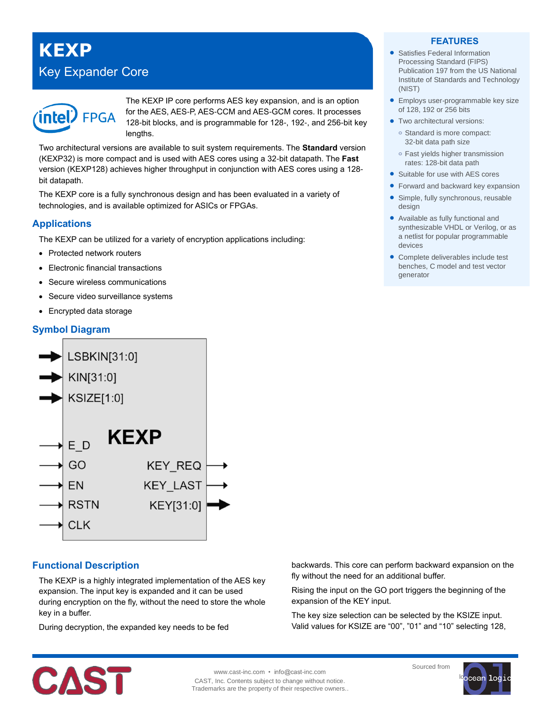# **KEXP** Key Expander Core



The KEXP IP core performs AES key expansion, and is an option for the AES, AES-P, AES-CCM and AES-GCM cores. It processes 128-bit blocks, and is programmable for 128-, 192-, and 256-bit key lengths.

Two architectural versions are available to suit system requirements. The **Standard** version (KEXP32) is more compact and is used with AES cores using a 32-bit datapath. The **Fast** version (KEXP128) achieves higher throughput in conjunction with AES cores using a 128 bit datapath.

The KEXP core is a fully synchronous design and has been evaluated in a variety of technologies, and is available optimized for ASICs or FPGAs.

## **Applications**

The KEXP can be utilized for a variety of encryption applications including:

- Protected network routers
- Electronic financial transactions
- Secure wireless communications
- Secure video surveillance systems
- Encrypted data storage

# **Symbol Diagram**



## **Functional Description**

The KEXP is a highly integrated implementation of the AES key expansion. The input key is expanded and it can be used during encryption on the fly, without the need to store the whole key in a buffer.

During decryption, the expanded key needs to be fed

#### **FEATURES**

- Satisfies Federal Information Processing Standard (FIPS) Publication 197 from the US National Institute of Standards and Technology (NIST)
- **Employs user-programmable key size** of 128, 192 or 256 bits
- Two architectural versions: **o** Standard is more compact: 32-bit data path size
	- **o** Fast yields higher transmission rates: 128-bit data path
- Suitable for use with AES cores
- Forward and backward key expansion
- Simple, fully synchronous, reusable design
- Available as fully functional and synthesizable VHDL or Verilog, or as a netlist for popular programmable devices
- Complete deliverables include test benches, C model and test vector generator

backwards. This core can perform backward expansion on the fly without the need for an additional buffer.

Rising the input on the GO port triggers the beginning of the expansion of the KEY input.

The key size selection can be selected by the KSIZE input. Valid values for KSIZE are "00", "01" and "10" selecting 128,



www.cast-inc.com • info@cast-inc.com CAST, Inc. Contents subject to change without notice. Trademarks are the property of their respective owners.. Sourced from